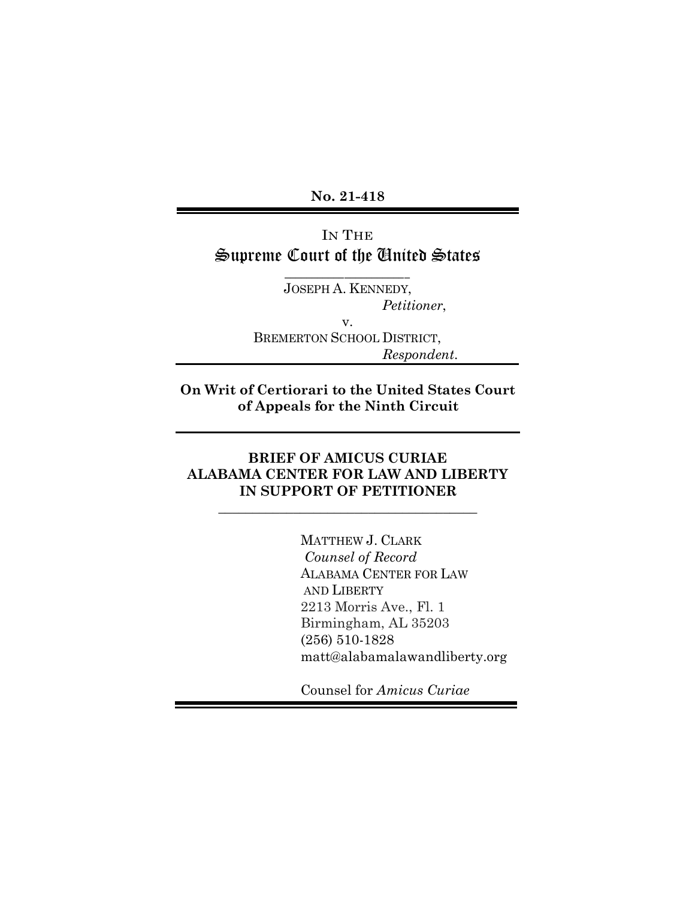**No. 21-418**

# IN THE Supreme Court of the United States

 $\overline{\phantom{a}}$  ,  $\overline{\phantom{a}}$  ,  $\overline{\phantom{a}}$  ,  $\overline{\phantom{a}}$  ,  $\overline{\phantom{a}}$  ,  $\overline{\phantom{a}}$  ,  $\overline{\phantom{a}}$  ,  $\overline{\phantom{a}}$  ,  $\overline{\phantom{a}}$  ,  $\overline{\phantom{a}}$  ,  $\overline{\phantom{a}}$  ,  $\overline{\phantom{a}}$  ,  $\overline{\phantom{a}}$  ,  $\overline{\phantom{a}}$  ,  $\overline{\phantom{a}}$  ,  $\overline{\phantom{a}}$ JOSEPH A. KENNEDY,  *Petitioner*, v. BREMERTON SCHOOL DISTRICT,  *Respondent*.

**On Writ of Certiorari to the United States Court of Appeals for the Ninth Circuit**

## **BRIEF OF AMICUS CURIAE ALABAMA CENTER FOR LAW AND LIBERTY IN SUPPORT OF PETITIONER**

**\_\_\_\_\_\_\_\_\_\_\_\_\_\_\_\_\_\_\_\_\_\_\_\_\_\_\_\_\_\_\_\_\_\_\_\_\_\_**

MATTHEW J. CLARK  *Counsel of Record* ALABAMA CENTER FOR LAW AND LIBERTY 2213 Morris Ave., Fl. 1 Birmingham, AL 35203 (256) 510-1828 matt@alabamalawandliberty.org

Counsel for *Amicus Curiae*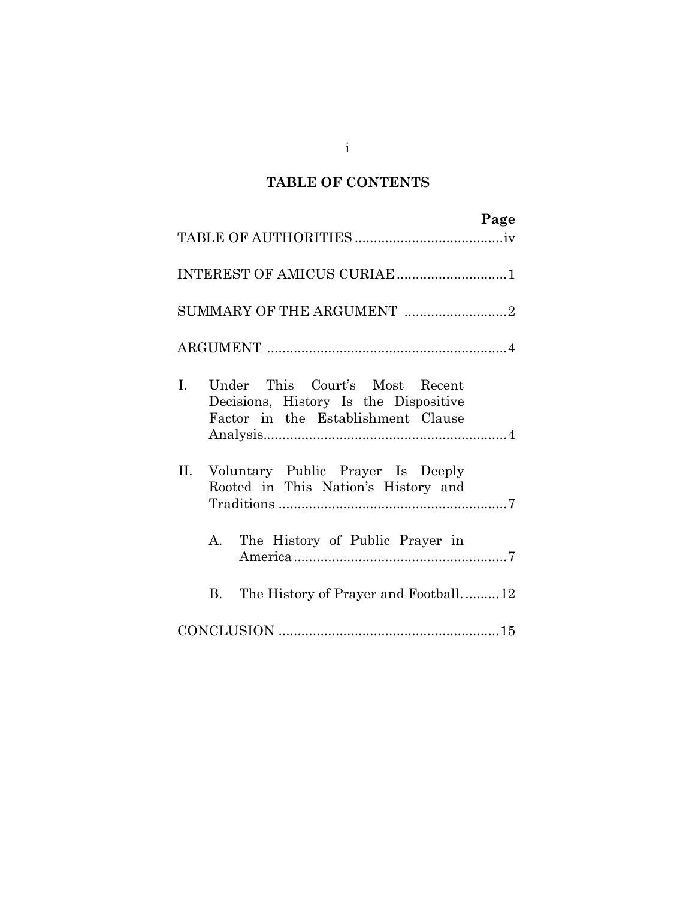# **TABLE OF CONTENTS**

| Page                                                                                                                          |
|-------------------------------------------------------------------------------------------------------------------------------|
|                                                                                                                               |
| INTEREST OF AMICUS CURIAE 1                                                                                                   |
| SUMMARY OF THE ARGUMENT 2                                                                                                     |
|                                                                                                                               |
| $\mathbf{L}$<br>Under This Court's Most Recent<br>Decisions, History Is the Dispositive<br>Factor in the Establishment Clause |
| Voluntary Public Prayer Is Deeply<br>II.<br>Rooted in This Nation's History and                                               |
| A. The History of Public Prayer in                                                                                            |
| The History of Prayer and Football12<br>B.                                                                                    |
|                                                                                                                               |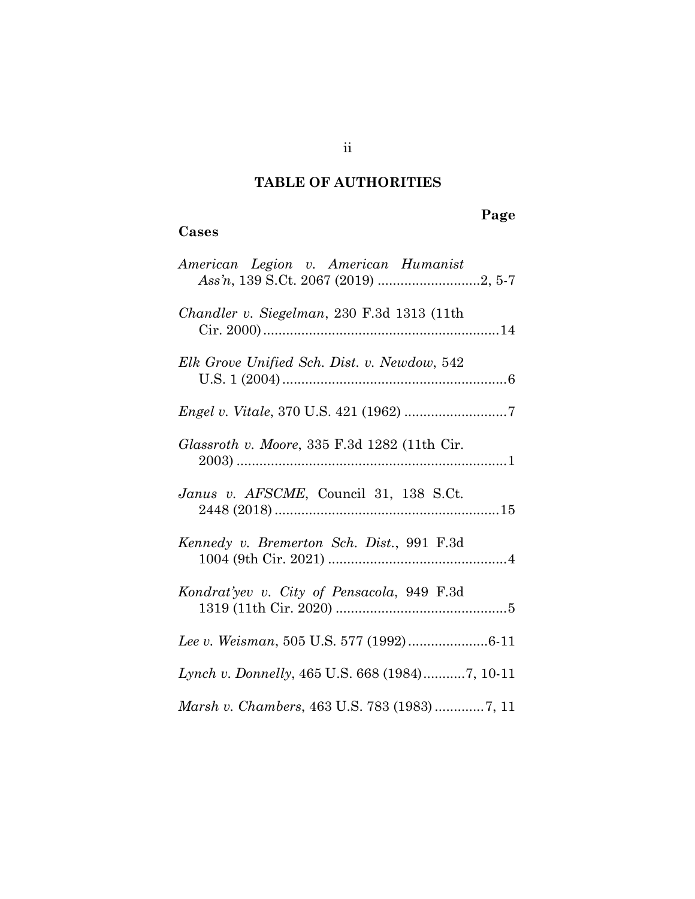# **TABLE OF AUTHORITIES**

## **Cases**

# **Page**

| American Legion v. American Humanist           |
|------------------------------------------------|
| Chandler v. Siegelman, 230 F.3d 1313 (11th     |
| Elk Grove Unified Sch. Dist. v. Newdow, 542    |
| <i>Engel v. Vitale, 370 U.S. 421 (1962) </i> 7 |
| Glassroth v. Moore, 335 F.3d 1282 (11th Cir.   |
| Janus v. AFSCME, Council 31, 138 S.Ct.         |
| Kennedy v. Bremerton Sch. Dist., 991 F.3d      |
| Kondrat'yev v. City of Pensacola, 949 F.3d     |
| Lee v. Weisman, 505 U.S. 577 (1992)6-11        |
| Lynch v. Donnelly, 465 U.S. 668 (1984)7, 10-11 |
|                                                |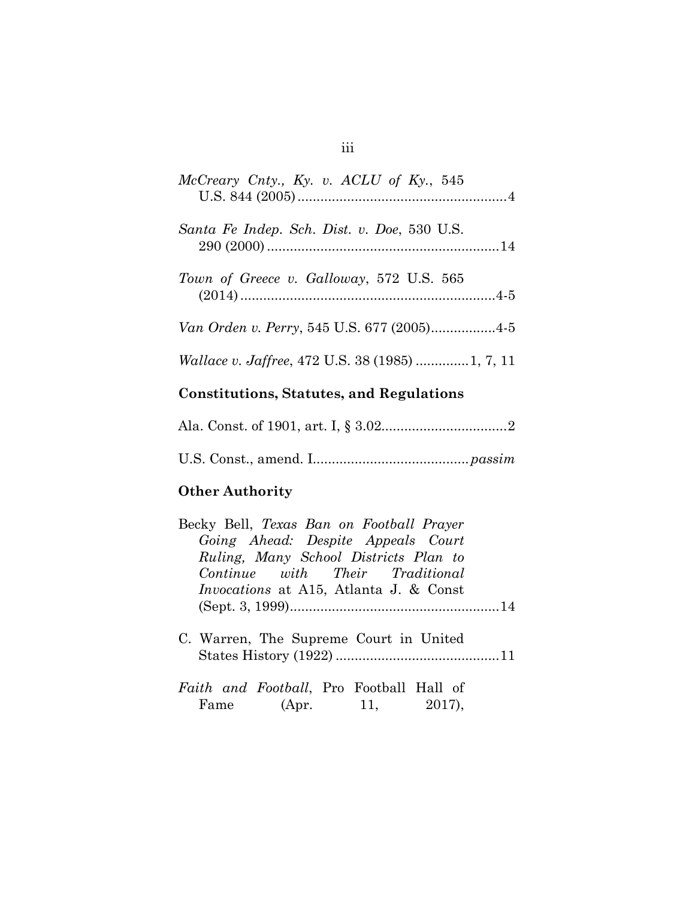| McCreary Cnty., Ky. v. ACLU of Ky., 545     |
|---------------------------------------------|
| Santa Fe Indep. Sch. Dist. v. Doe, 530 U.S. |
| Town of Greece v. Galloway, 572 U.S. 565    |
| Van Orden v. Perry, 545 U.S. 677 (2005)4-5  |

# **Constitutions, Statutes, and Regulations**

*Wallace v. Jaffree*, 472 U.S. 38 (1985) ..............1, 7, 11

## **Other Authority**

| Becky Bell, Texas Ban on Football Prayer      |  |
|-----------------------------------------------|--|
| Going Ahead: Despite Appeals Court            |  |
| Ruling, Many School Districts Plan to         |  |
| Continue with Their Traditional               |  |
| <i>Invocations</i> at A15, Atlanta J. & Const |  |
|                                               |  |
| C. Warren, The Supreme Court in United        |  |
| Faith and Football, Pro Football Hall of      |  |
| Fame (Apr. 11, 2017),                         |  |

## iii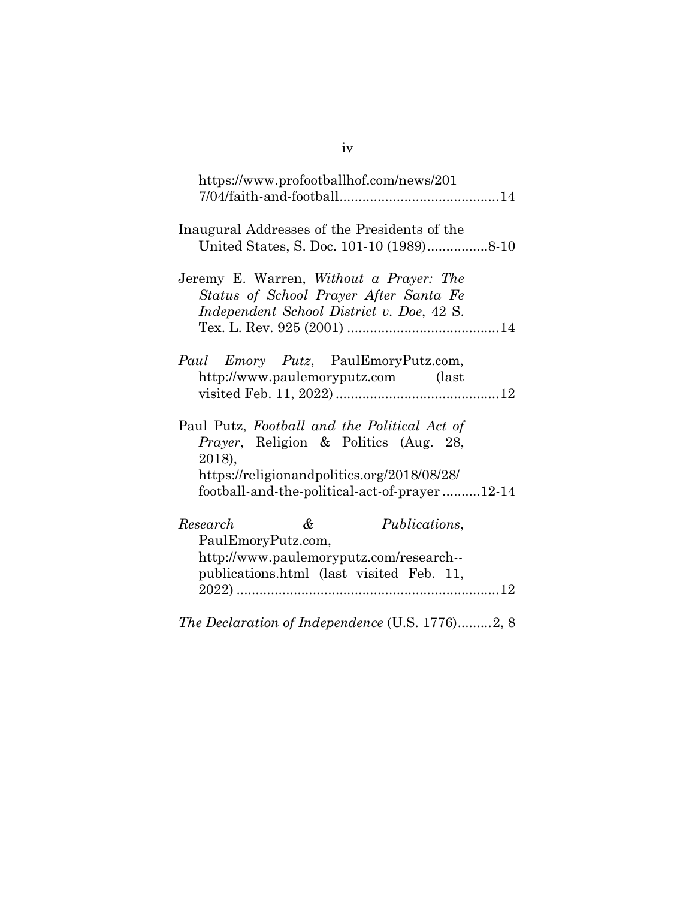| https://www.profootballhof.com/news/201                                                                                                                                                                 |  |
|---------------------------------------------------------------------------------------------------------------------------------------------------------------------------------------------------------|--|
| Inaugural Addresses of the Presidents of the                                                                                                                                                            |  |
| Jeremy E. Warren, <i>Without a Prayer: The</i><br>Status of School Prayer After Santa Fe<br>Independent School District v. Doe, 42 S.                                                                   |  |
| <i>Paul Emory Putz</i> , PaulEmoryPutz.com,<br>http://www.paulemoryputz.com (last                                                                                                                       |  |
| Paul Putz, Football and the Political Act of<br><i>Prayer</i> , Religion & Politics (Aug. 28,<br>2018),<br>https://religionandpolitics.org/2018/08/28/<br>football-and-the-political-act-of-prayer12-14 |  |
| &<br>Research<br><i>Publications,</i><br>PaulEmoryPutz.com,<br>http://www.paulemoryputz.com/research--<br>publications.html (last visited Feb. 11,                                                      |  |
|                                                                                                                                                                                                         |  |

*The Declaration of Independence* (U.S. 1776).........2, 8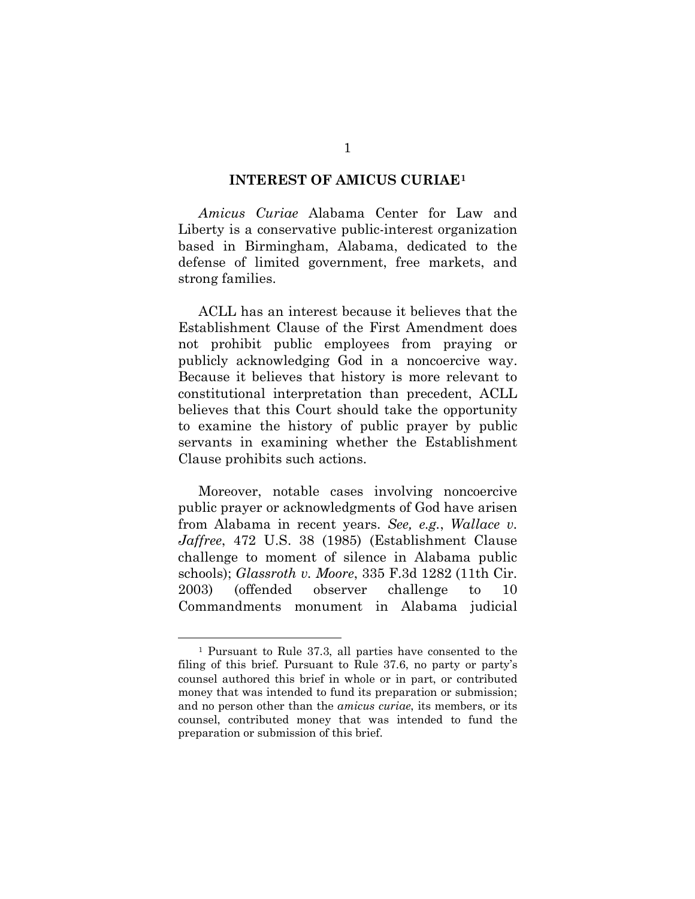#### **INTEREST OF AMICUS CURIAE[1](#page-5-0)**

*Amicus Curiae* Alabama Center for Law and Liberty is a conservative public-interest organization based in Birmingham, Alabama, dedicated to the defense of limited government, free markets, and strong families.

ACLL has an interest because it believes that the Establishment Clause of the First Amendment does not prohibit public employees from praying or publicly acknowledging God in a noncoercive way. Because it believes that history is more relevant to constitutional interpretation than precedent, ACLL believes that this Court should take the opportunity to examine the history of public prayer by public servants in examining whether the Establishment Clause prohibits such actions.

Moreover, notable cases involving noncoercive public prayer or acknowledgments of God have arisen from Alabama in recent years. *See, e.g.*, *Wallace v. Jaffree*, 472 U.S. 38 (1985) (Establishment Clause challenge to moment of silence in Alabama public schools); *Glassroth v. Moore*, 335 F.3d 1282 (11th Cir. 2003) (offended observer challenge to 10 Commandments monument in Alabama judicial

<span id="page-5-0"></span><sup>1</sup> Pursuant to Rule 37.3, all parties have consented to the filing of this brief. Pursuant to Rule 37.6, no party or party's counsel authored this brief in whole or in part, or contributed money that was intended to fund its preparation or submission; and no person other than the *amicus curiae*, its members, or its counsel, contributed money that was intended to fund the preparation or submission of this brief.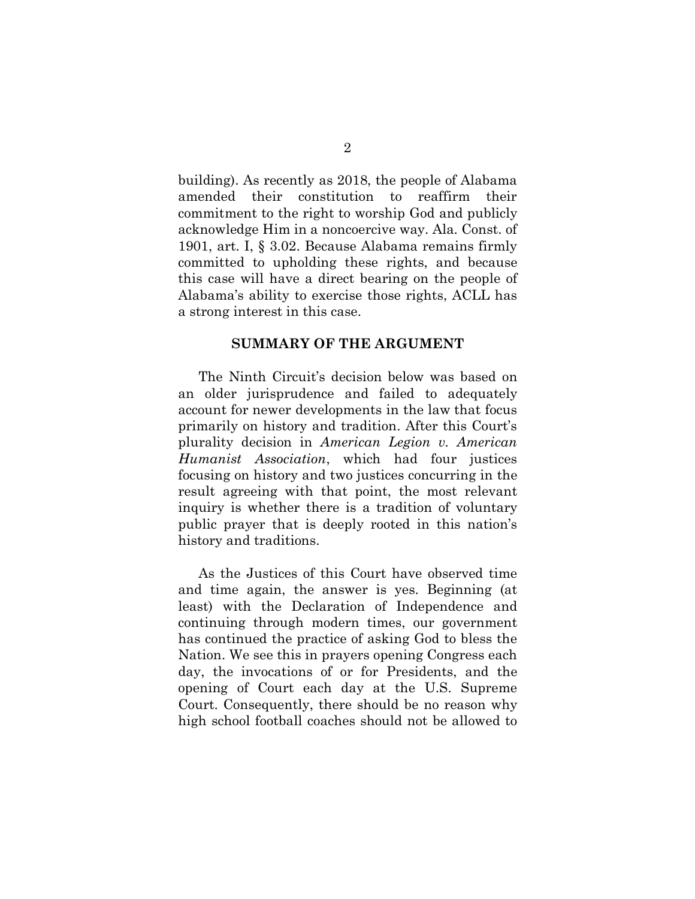building). As recently as 2018, the people of Alabama amended their constitution to reaffirm their commitment to the right to worship God and publicly acknowledge Him in a noncoercive way. Ala. Const. of 1901, art. I, § 3.02. Because Alabama remains firmly committed to upholding these rights, and because this case will have a direct bearing on the people of Alabama's ability to exercise those rights, ACLL has a strong interest in this case.

#### **SUMMARY OF THE ARGUMENT**

The Ninth Circuit's decision below was based on an older jurisprudence and failed to adequately account for newer developments in the law that focus primarily on history and tradition. After this Court's plurality decision in *American Legion v. American Humanist Association*, which had four justices focusing on history and two justices concurring in the result agreeing with that point, the most relevant inquiry is whether there is a tradition of voluntary public prayer that is deeply rooted in this nation's history and traditions.

As the Justices of this Court have observed time and time again, the answer is yes. Beginning (at least) with the Declaration of Independence and continuing through modern times, our government has continued the practice of asking God to bless the Nation. We see this in prayers opening Congress each day, the invocations of or for Presidents, and the opening of Court each day at the U.S. Supreme Court. Consequently, there should be no reason why high school football coaches should not be allowed to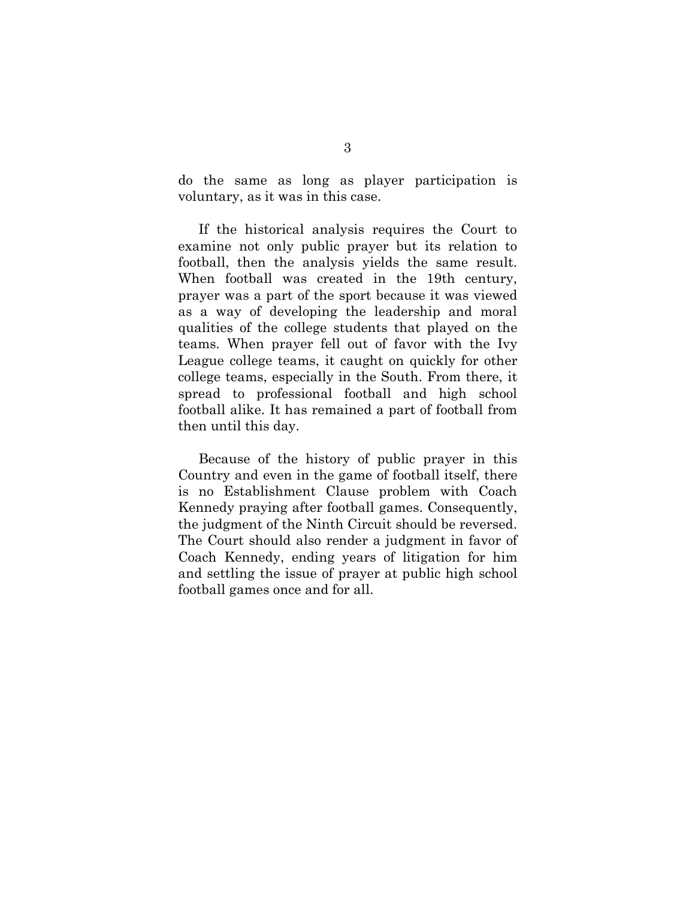do the same as long as player participation is voluntary, as it was in this case.

If the historical analysis requires the Court to examine not only public prayer but its relation to football, then the analysis yields the same result. When football was created in the 19th century, prayer was a part of the sport because it was viewed as a way of developing the leadership and moral qualities of the college students that played on the teams. When prayer fell out of favor with the Ivy League college teams, it caught on quickly for other college teams, especially in the South. From there, it spread to professional football and high school football alike. It has remained a part of football from then until this day.

Because of the history of public prayer in this Country and even in the game of football itself, there is no Establishment Clause problem with Coach Kennedy praying after football games. Consequently, the judgment of the Ninth Circuit should be reversed. The Court should also render a judgment in favor of Coach Kennedy, ending years of litigation for him and settling the issue of prayer at public high school football games once and for all.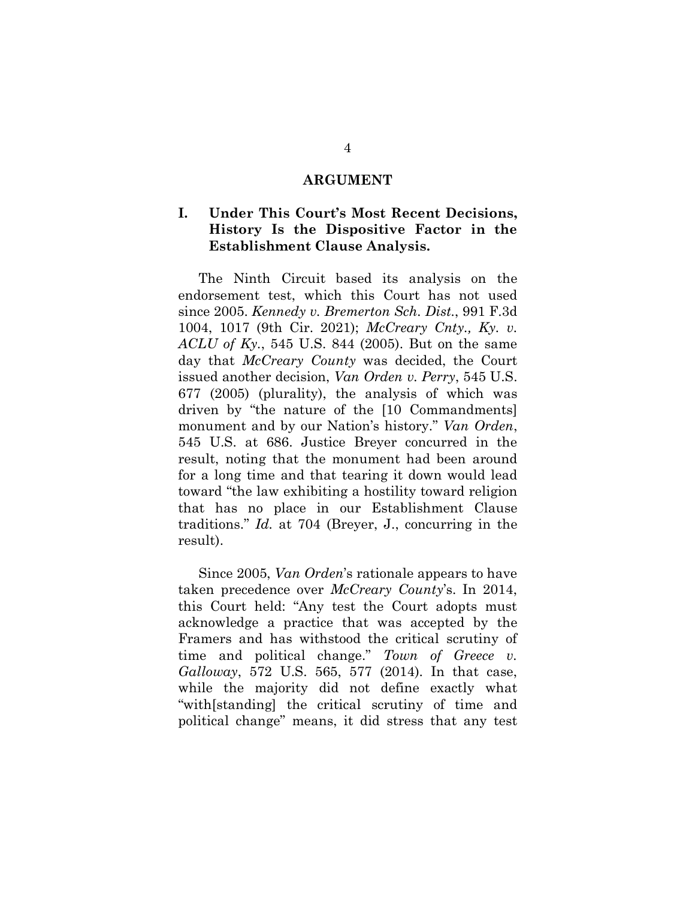#### **ARGUMENT**

## **I. Under This Court's Most Recent Decisions, History Is the Dispositive Factor in the Establishment Clause Analysis.**

The Ninth Circuit based its analysis on the endorsement test, which this Court has not used since 2005. *Kennedy v. Bremerton Sch. Dist.*, 991 F.3d 1004, 1017 (9th Cir. 2021); *McCreary Cnty., Ky. v. ACLU of Ky.*, 545 U.S. 844 (2005). But on the same day that *McCreary County* was decided, the Court issued another decision, *Van Orden v. Perry*, 545 U.S. 677 (2005) (plurality), the analysis of which was driven by "the nature of the [10 Commandments] monument and by our Nation's history." *Van Orden*, 545 U.S. at 686. Justice Breyer concurred in the result, noting that the monument had been around for a long time and that tearing it down would lead toward "the law exhibiting a hostility toward religion that has no place in our Establishment Clause traditions." *Id.* at 704 (Breyer, J., concurring in the result).

Since 2005, *Van Orden*'s rationale appears to have taken precedence over *McCreary County*'s. In 2014, this Court held: "Any test the Court adopts must acknowledge a practice that was accepted by the Framers and has withstood the critical scrutiny of time and political change." *Town of Greece v. Galloway*, 572 U.S. 565, 577 (2014). In that case, while the majority did not define exactly what "with[standing] the critical scrutiny of time and political change" means, it did stress that any test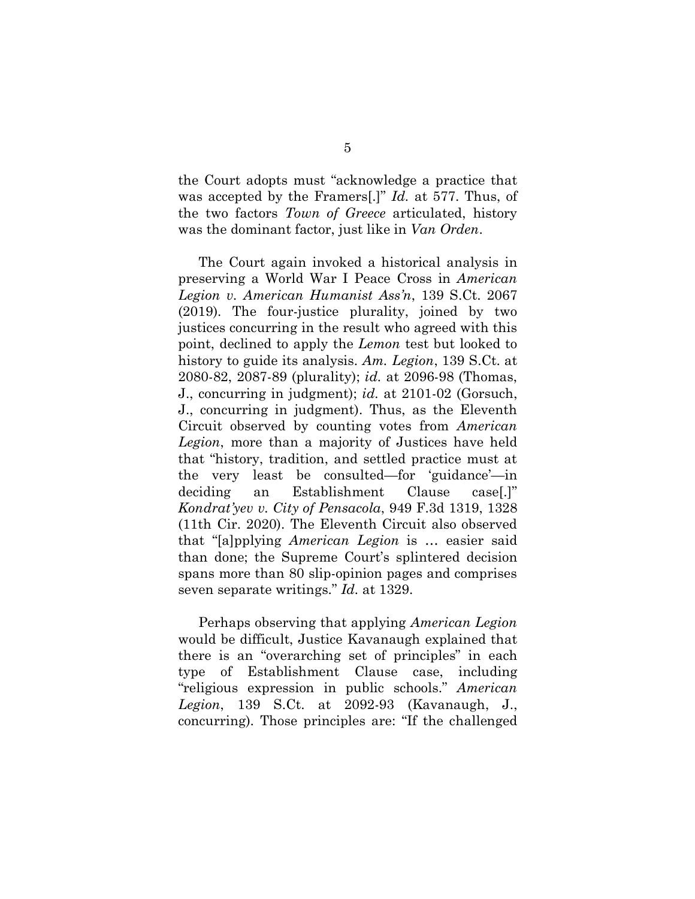the Court adopts must "acknowledge a practice that was accepted by the Framers[.]" *Id.* at 577. Thus, of the two factors *Town of Greece* articulated, history was the dominant factor, just like in *Van Orden*.

The Court again invoked a historical analysis in preserving a World War I Peace Cross in *American Legion v. American Humanist Ass'n*, 139 S.Ct. 2067 (2019). The four-justice plurality, joined by two justices concurring in the result who agreed with this point, declined to apply the *Lemon* test but looked to history to guide its analysis. *Am. Legion*, 139 S.Ct. at 2080-82, 2087-89 (plurality); *id.* at 2096-98 (Thomas, J., concurring in judgment); *id.* at 2101-02 (Gorsuch, J., concurring in judgment). Thus, as the Eleventh Circuit observed by counting votes from *American Legion*, more than a majority of Justices have held that "history, tradition, and settled practice must at the very least be consulted—for 'guidance'—in deciding an Establishment Clause case[.]" *Kondrat'yev v. City of Pensacola*, 949 F.3d 1319, 1328 (11th Cir. 2020). The Eleventh Circuit also observed that "[a]pplying *American Legion* is … easier said than done; the Supreme Court's splintered decision spans more than 80 slip-opinion pages and comprises seven separate writings." *Id.* at 1329.

Perhaps observing that applying *American Legion* would be difficult, Justice Kavanaugh explained that there is an "overarching set of principles" in each type of Establishment Clause case, including "religious expression in public schools." *American Legion*, 139 S.Ct. at 2092-93 (Kavanaugh, J., concurring). Those principles are: "If the challenged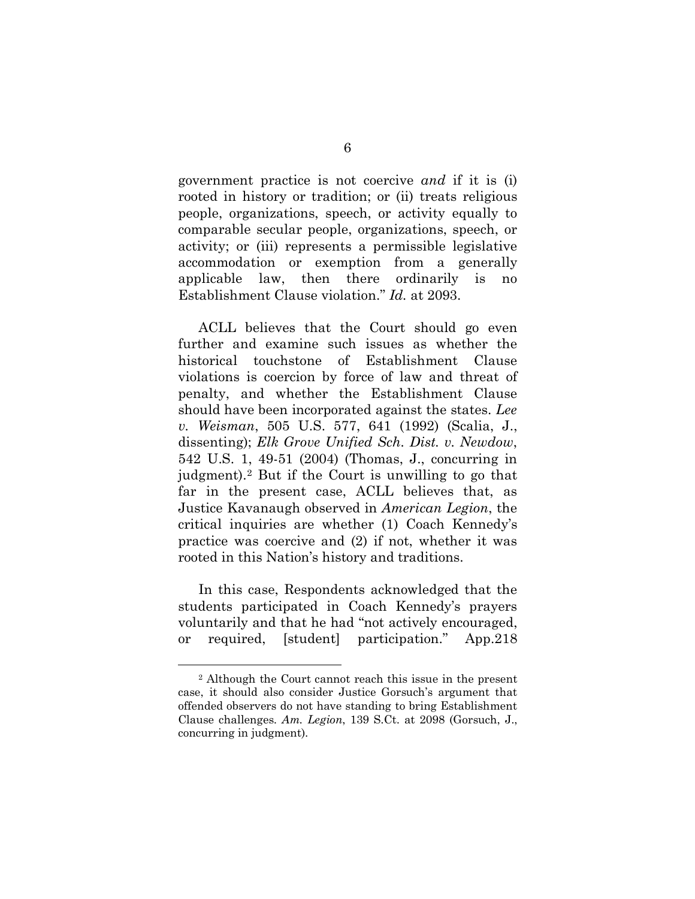government practice is not coercive *and* if it is (i) rooted in history or tradition; or (ii) treats religious people, organizations, speech, or activity equally to comparable secular people, organizations, speech, or activity; or (iii) represents a permissible legislative accommodation or exemption from a generally applicable law, then there ordinarily is no Establishment Clause violation." *Id.* at 2093.

ACLL believes that the Court should go even further and examine such issues as whether the historical touchstone of Establishment Clause violations is coercion by force of law and threat of penalty, and whether the Establishment Clause should have been incorporated against the states. *Lee v. Weisman*, 505 U.S. 577, 641 (1992) (Scalia, J., dissenting); *Elk Grove Unified Sch. Dist. v. Newdow*, 542 U.S. 1, 49-51 (2004) (Thomas, J., concurring in judgment).[2](#page-10-0) But if the Court is unwilling to go that far in the present case, ACLL believes that, as Justice Kavanaugh observed in *American Legion*, the critical inquiries are whether (1) Coach Kennedy's practice was coercive and (2) if not, whether it was rooted in this Nation's history and traditions.

In this case, Respondents acknowledged that the students participated in Coach Kennedy's prayers voluntarily and that he had "not actively encouraged, or required, [student] participation." App.218

<span id="page-10-0"></span><sup>2</sup> Although the Court cannot reach this issue in the present case, it should also consider Justice Gorsuch's argument that offended observers do not have standing to bring Establishment Clause challenges. *Am. Legion*, 139 S.Ct. at 2098 (Gorsuch, J., concurring in judgment).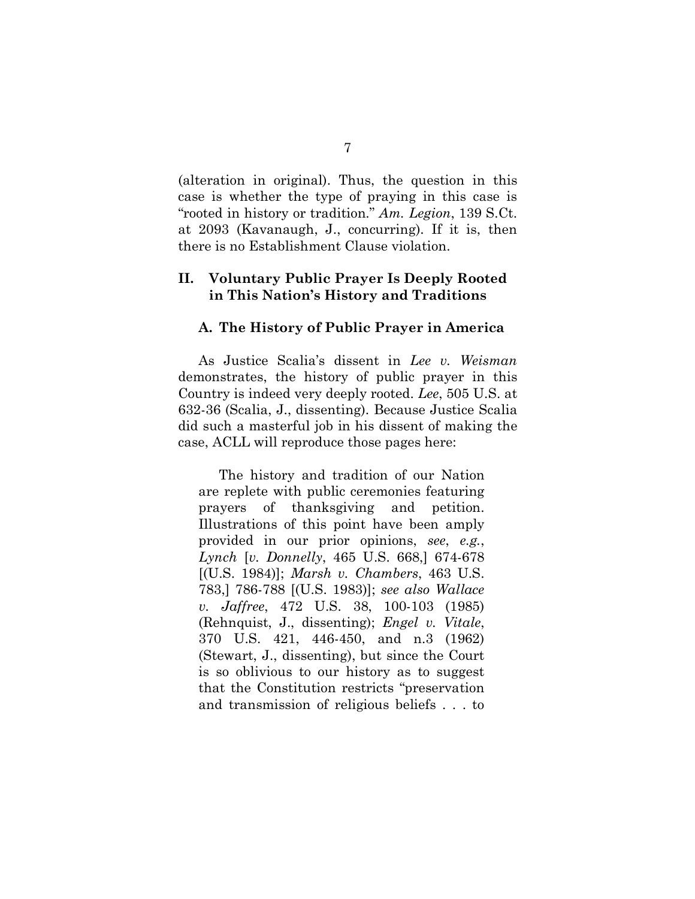(alteration in original). Thus, the question in this case is whether the type of praying in this case is "rooted in history or tradition." *Am. Legion*, 139 S.Ct. at 2093 (Kavanaugh, J., concurring). If it is, then there is no Establishment Clause violation.

### **II. Voluntary Public Prayer Is Deeply Rooted in This Nation's History and Traditions**

#### **A. The History of Public Prayer in America**

As Justice Scalia's dissent in *Lee v. Weisman* demonstrates, the history of public prayer in this Country is indeed very deeply rooted. *Lee*, 505 U.S. at 632-36 (Scalia, J., dissenting). Because Justice Scalia did such a masterful job in his dissent of making the case, ACLL will reproduce those pages here:

The history and tradition of our Nation are replete with public ceremonies featuring prayers of thanksgiving and petition. Illustrations of this point have been amply provided in our prior opinions, *see*, *e.g.*, *Lynch* [*v. Donnelly*, 465 U.S. 668,] 674-678 [(U.S. 1984)]; *Marsh v. Chambers*, 463 U.S. 783,] 786-788 [(U.S. 1983)]; *see also Wallace v. Jaffree*, 472 U.S. 38, 100-103 (1985) (Rehnquist, J., dissenting); *Engel v. Vitale*, 370 U.S. 421, 446-450, and n.3 (1962) (Stewart, J., dissenting), but since the Court is so oblivious to our history as to suggest that the Constitution restricts "preservation and transmission of religious beliefs . . . to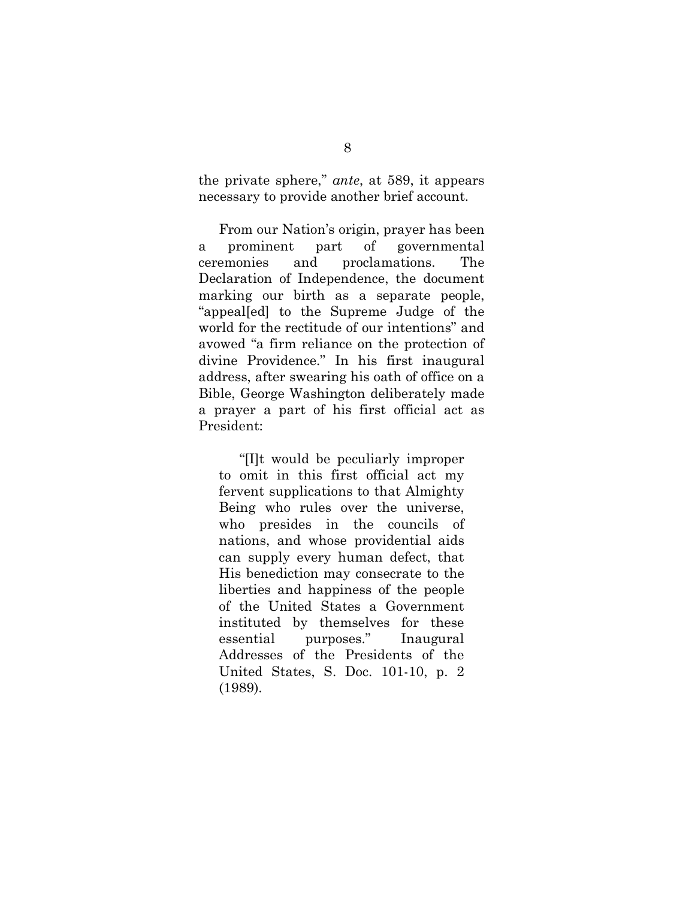the private sphere," *ante*, at 589, it appears necessary to provide another brief account.

From our Nation's origin, prayer has been a prominent part of governmental ceremonies and proclamations. The Declaration of Independence, the document marking our birth as a separate people, "appeal[ed] to the Supreme Judge of the world for the rectitude of our intentions" and avowed "a firm reliance on the protection of divine Providence." In his first inaugural address, after swearing his oath of office on a Bible, George Washington deliberately made a prayer a part of his first official act as President:

"[I]t would be peculiarly improper to omit in this first official act my fervent supplications to that Almighty Being who rules over the universe, who presides in the councils of nations, and whose providential aids can supply every human defect, that His benediction may consecrate to the liberties and happiness of the people of the United States a Government instituted by themselves for these essential purposes." Inaugural Addresses of the Presidents of the United States, S. Doc. 101-10, p. 2 (1989).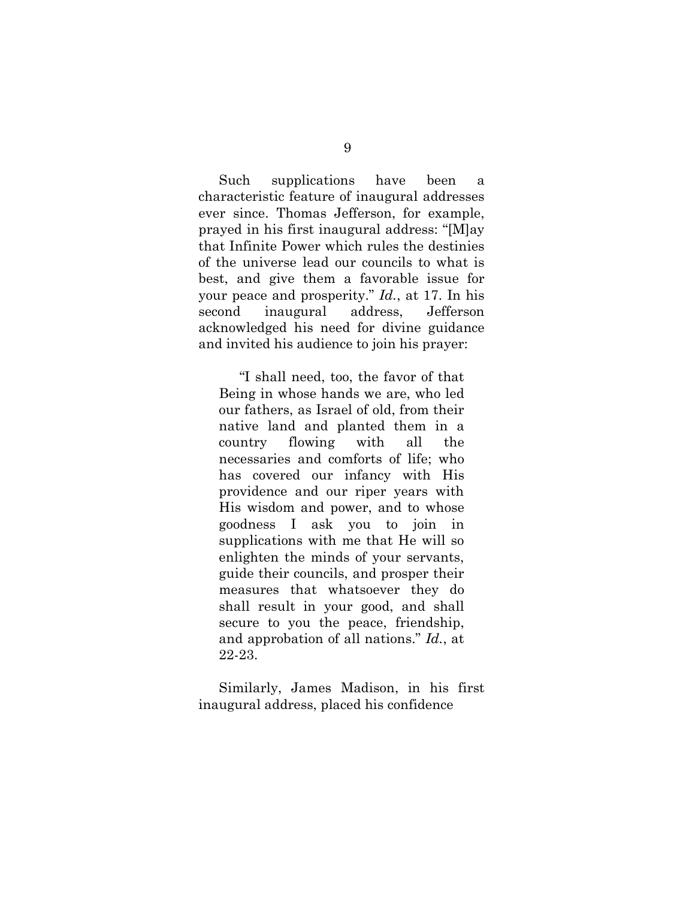Such supplications have been a characteristic feature of inaugural addresses ever since. Thomas Jefferson, for example, prayed in his first inaugural address: "[M]ay that Infinite Power which rules the destinies of the universe lead our councils to what is best, and give them a favorable issue for your peace and prosperity." *Id.*, at 17. In his second inaugural address, Jefferson acknowledged his need for divine guidance and invited his audience to join his prayer:

"I shall need, too, the favor of that Being in whose hands we are, who led our fathers, as Israel of old, from their native land and planted them in a country flowing with all the necessaries and comforts of life; who has covered our infancy with His providence and our riper years with His wisdom and power, and to whose goodness I ask you to join in supplications with me that He will so enlighten the minds of your servants, guide their councils, and prosper their measures that whatsoever they do shall result in your good, and shall secure to you the peace, friendship, and approbation of all nations." *Id.*, at 22-23.

Similarly, James Madison, in his first inaugural address, placed his confidence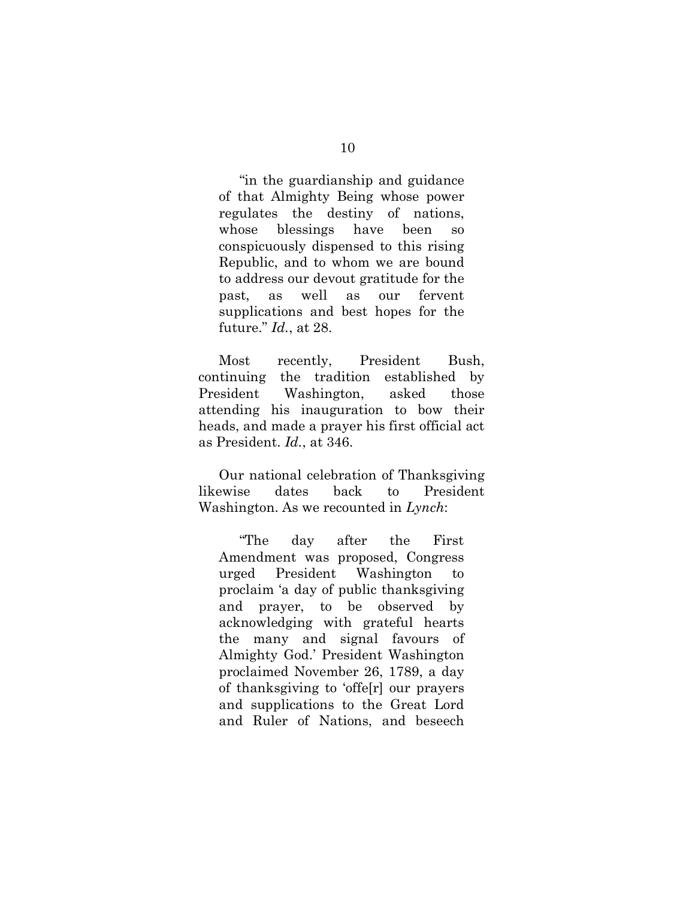"in the guardianship and guidance of that Almighty Being whose power regulates the destiny of nations, whose blessings have been so conspicuously dispensed to this rising Republic, and to whom we are bound to address our devout gratitude for the past, as well as our fervent supplications and best hopes for the future." *Id.*, at 28.

Most recently, President Bush, continuing the tradition established by President Washington, asked those attending his inauguration to bow their heads, and made a prayer his first official act as President. *Id.*, at 346.

Our national celebration of Thanksgiving likewise dates back to President Washington. As we recounted in *Lynch*:

"The day after the First Amendment was proposed, Congress urged President Washington to proclaim 'a day of public thanksgiving and prayer, to be observed by acknowledging with grateful hearts the many and signal favours of Almighty God.' President Washington proclaimed November 26, 1789, a day of thanksgiving to 'offe[r] our prayers and supplications to the Great Lord and Ruler of Nations, and beseech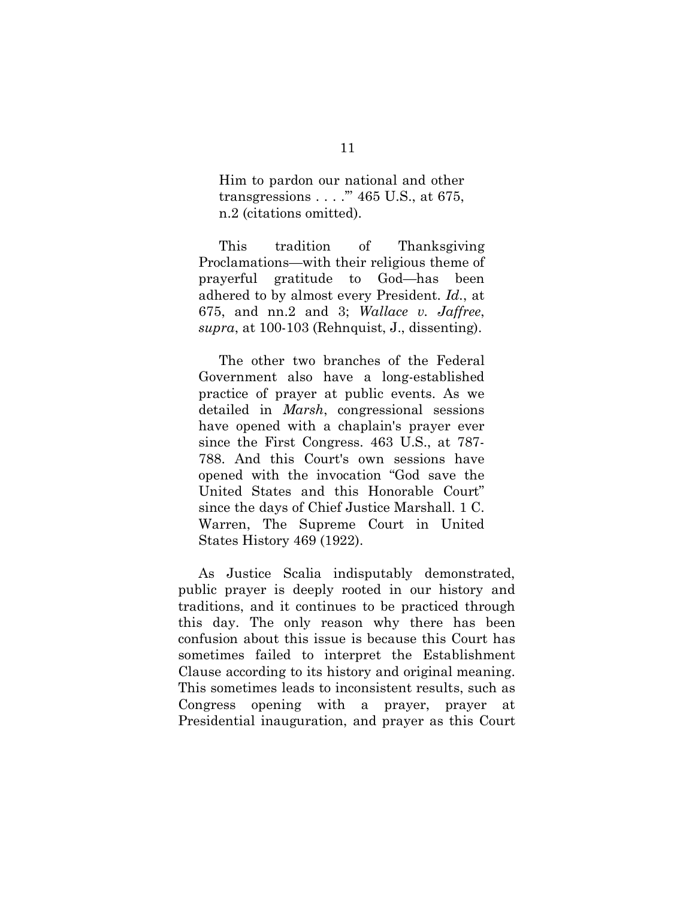Him to pardon our national and other transgressions . . . .'" 465 U.S., at 675, n.2 (citations omitted).

This tradition of Thanksgiving Proclamations—with their religious theme of prayerful gratitude to God—has been adhered to by almost every President. *Id.*, at 675, and nn.2 and 3; *Wallace v. Jaffree*, *supra*, at 100-103 (Rehnquist, J., dissenting).

The other two branches of the Federal Government also have a long-established practice of prayer at public events. As we detailed in *Marsh*, congressional sessions have opened with a chaplain's prayer ever since the First Congress. 463 U.S., at 787- 788. And this Court's own sessions have opened with the invocation "God save the United States and this Honorable Court" since the days of Chief Justice Marshall. 1 C. Warren, The Supreme Court in United States History 469 (1922).

As Justice Scalia indisputably demonstrated, public prayer is deeply rooted in our history and traditions, and it continues to be practiced through this day. The only reason why there has been confusion about this issue is because this Court has sometimes failed to interpret the Establishment Clause according to its history and original meaning. This sometimes leads to inconsistent results, such as Congress opening with a prayer, prayer at Presidential inauguration, and prayer as this Court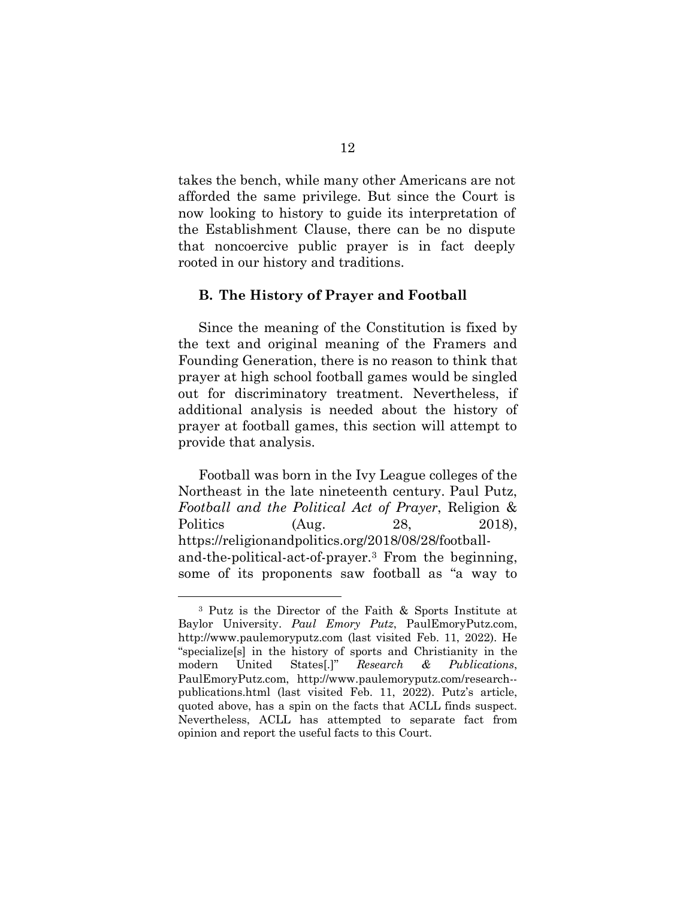takes the bench, while many other Americans are not afforded the same privilege. But since the Court is now looking to history to guide its interpretation of the Establishment Clause, there can be no dispute that noncoercive public prayer is in fact deeply rooted in our history and traditions.

#### **B. The History of Prayer and Football**

Since the meaning of the Constitution is fixed by the text and original meaning of the Framers and Founding Generation, there is no reason to think that prayer at high school football games would be singled out for discriminatory treatment. Nevertheless, if additional analysis is needed about the history of prayer at football games, this section will attempt to provide that analysis.

Football was born in the Ivy League colleges of the Northeast in the late nineteenth century. Paul Putz, *Football and the Political Act of Prayer*, Religion & Politics (Aug. 28, 2018), https://religionandpolitics.org/2018/08/28/footballand-the-political-act-of-prayer.[3](#page-16-0) From the beginning, some of its proponents saw football as "a way to

<span id="page-16-0"></span><sup>3</sup> Putz is the Director of the Faith & Sports Institute at Baylor University. *Paul Emory Putz*, PaulEmoryPutz.com, http://www.paulemoryputz.com (last visited Feb. 11, 2022). He "specialize[s] in the history of sports and Christianity in the modern United States[.]" *Research & Publications*, PaulEmoryPutz.com, http://www.paulemoryputz.com/research- publications.html (last visited Feb. 11, 2022). Putz's article, quoted above, has a spin on the facts that ACLL finds suspect. Nevertheless, ACLL has attempted to separate fact from opinion and report the useful facts to this Court.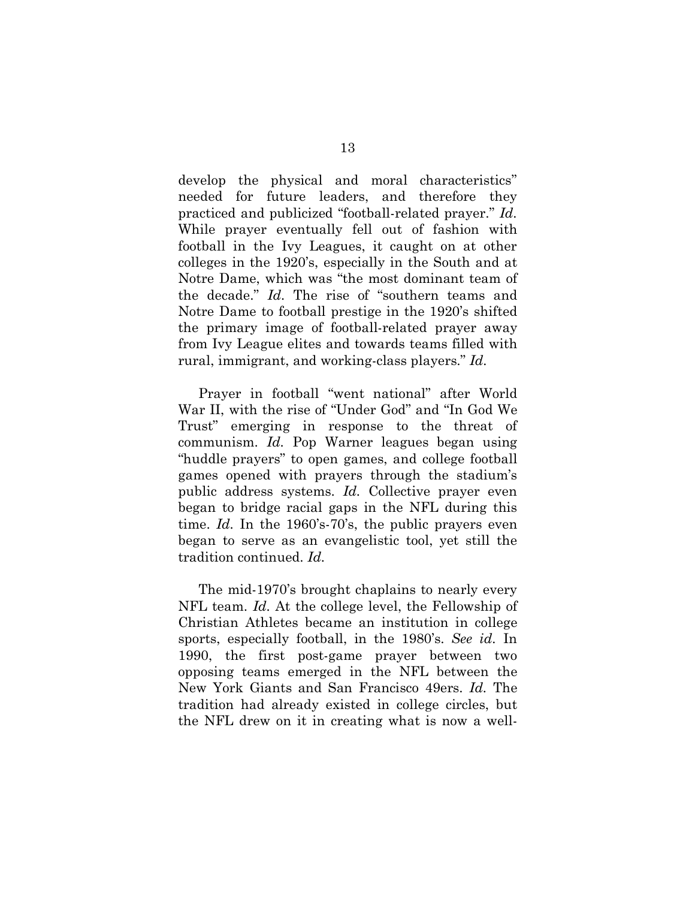develop the physical and moral characteristics" needed for future leaders, and therefore they practiced and publicized "football-related prayer." *Id.* While prayer eventually fell out of fashion with football in the Ivy Leagues, it caught on at other colleges in the 1920's, especially in the South and at Notre Dame, which was "the most dominant team of the decade." *Id.* The rise of "southern teams and Notre Dame to football prestige in the 1920's shifted the primary image of football-related prayer away from Ivy League elites and towards teams filled with rural, immigrant, and working-class players." *Id.*

Prayer in football "went national" after World War II, with the rise of "Under God" and "In God We Trust" emerging in response to the threat of communism. *Id.* Pop Warner leagues began using "huddle prayers" to open games, and college football games opened with prayers through the stadium's public address systems. *Id.* Collective prayer even began to bridge racial gaps in the NFL during this time. *Id.* In the 1960's-70's, the public prayers even began to serve as an evangelistic tool, yet still the tradition continued. *Id.*

The mid-1970's brought chaplains to nearly every NFL team. *Id.* At the college level, the Fellowship of Christian Athletes became an institution in college sports, especially football, in the 1980's. *See id.* In 1990, the first post-game prayer between two opposing teams emerged in the NFL between the New York Giants and San Francisco 49ers. *Id.* The tradition had already existed in college circles, but the NFL drew on it in creating what is now a well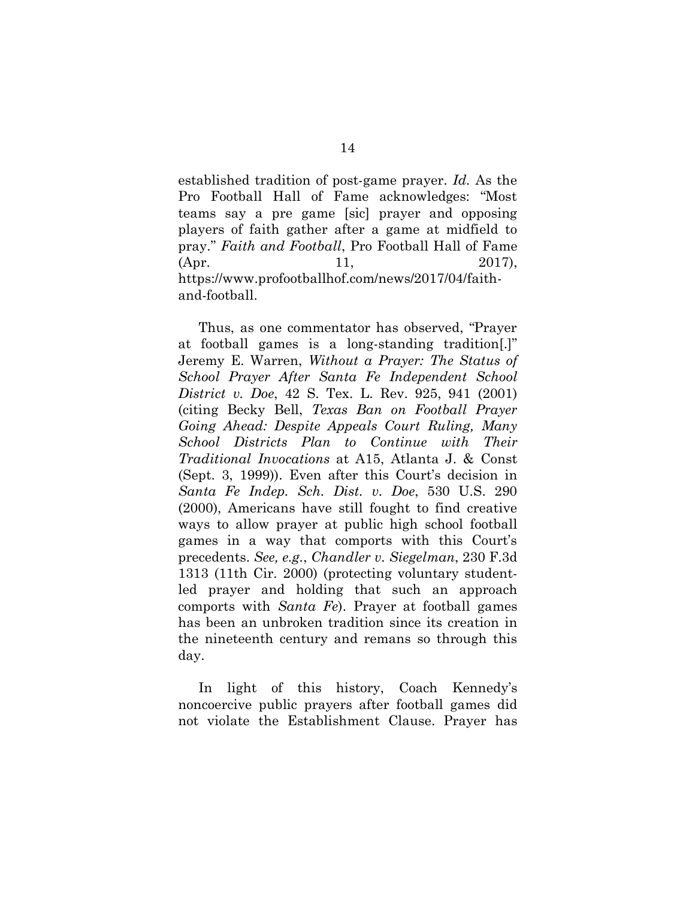established tradition of post-game prayer. *Id.* As the Pro Football Hall of Fame acknowledges: "Most teams say a pre game [sic] prayer and opposing players of faith gather after a game at midfield to pray." *Faith and Football*, Pro Football Hall of Fame (Apr. 11, 2017), https://www.profootballhof.com/news/2017/04/faithand-football.

Thus, as one commentator has observed, "Prayer at football games is a long-standing tradition[.]" Jeremy E. Warren, *Without a Prayer: The Status of School Prayer After Santa Fe Independent School District v. Doe*, 42 S. Tex. L. Rev. 925, 941 (2001) (citing Becky Bell, *Texas Ban on Football Prayer Going Ahead: Despite Appeals Court Ruling, Many School Districts Plan to Continue with Their Traditional Invocations* at A15, Atlanta J. & Const (Sept. 3, 1999)). Even after this Court's decision in *Santa Fe Indep. Sch. Dist. v. Doe*, 530 U.S. 290 (2000), Americans have still fought to find creative ways to allow prayer at public high school football games in a way that comports with this Court's precedents. *See, e.g.*, *Chandler v. Siegelman*, 230 F.3d 1313 (11th Cir. 2000) (protecting voluntary studentled prayer and holding that such an approach comports with *Santa Fe*). Prayer at football games has been an unbroken tradition since its creation in the nineteenth century and remans so through this day.

In light of this history, Coach Kennedy's noncoercive public prayers after football games did not violate the Establishment Clause. Prayer has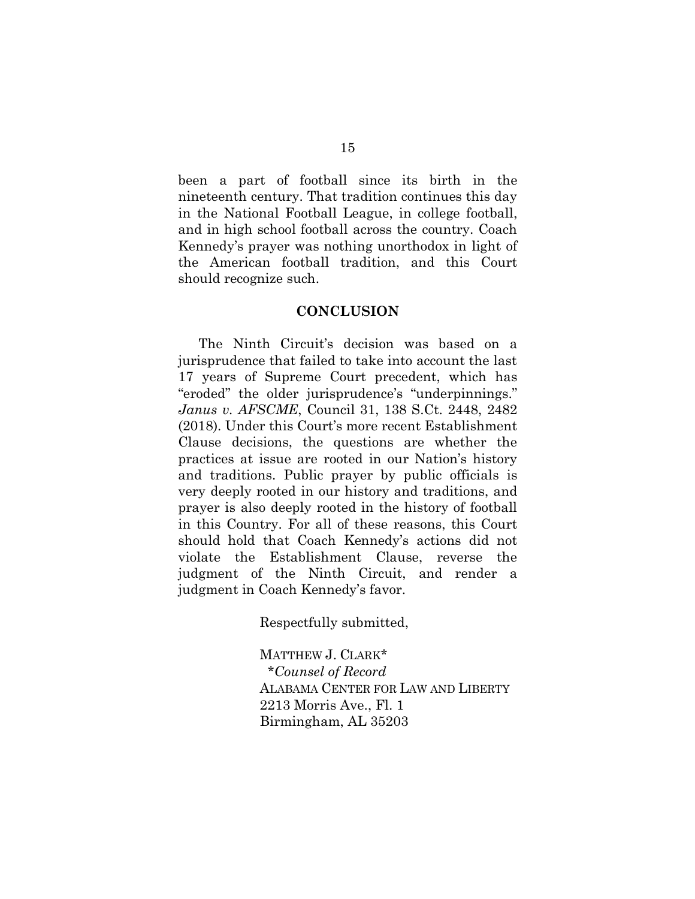been a part of football since its birth in the nineteenth century. That tradition continues this day in the National Football League, in college football, and in high school football across the country. Coach Kennedy's prayer was nothing unorthodox in light of the American football tradition, and this Court should recognize such.

#### **CONCLUSION**

The Ninth Circuit's decision was based on a jurisprudence that failed to take into account the last 17 years of Supreme Court precedent, which has "eroded" the older jurisprudence's "underpinnings." *Janus v. AFSCME*, Council 31, 138 S.Ct. 2448, 2482 (2018). Under this Court's more recent Establishment Clause decisions, the questions are whether the practices at issue are rooted in our Nation's history and traditions. Public prayer by public officials is very deeply rooted in our history and traditions, and prayer is also deeply rooted in the history of football in this Country. For all of these reasons, this Court should hold that Coach Kennedy's actions did not violate the Establishment Clause, reverse the judgment of the Ninth Circuit, and render a judgment in Coach Kennedy's favor.

Respectfully submitted,

MATTHEW J. CLARK\*  *\*Counsel of Record* ALABAMA CENTER FOR LAW AND LIBERTY 2213 Morris Ave., Fl. 1 Birmingham, AL 35203